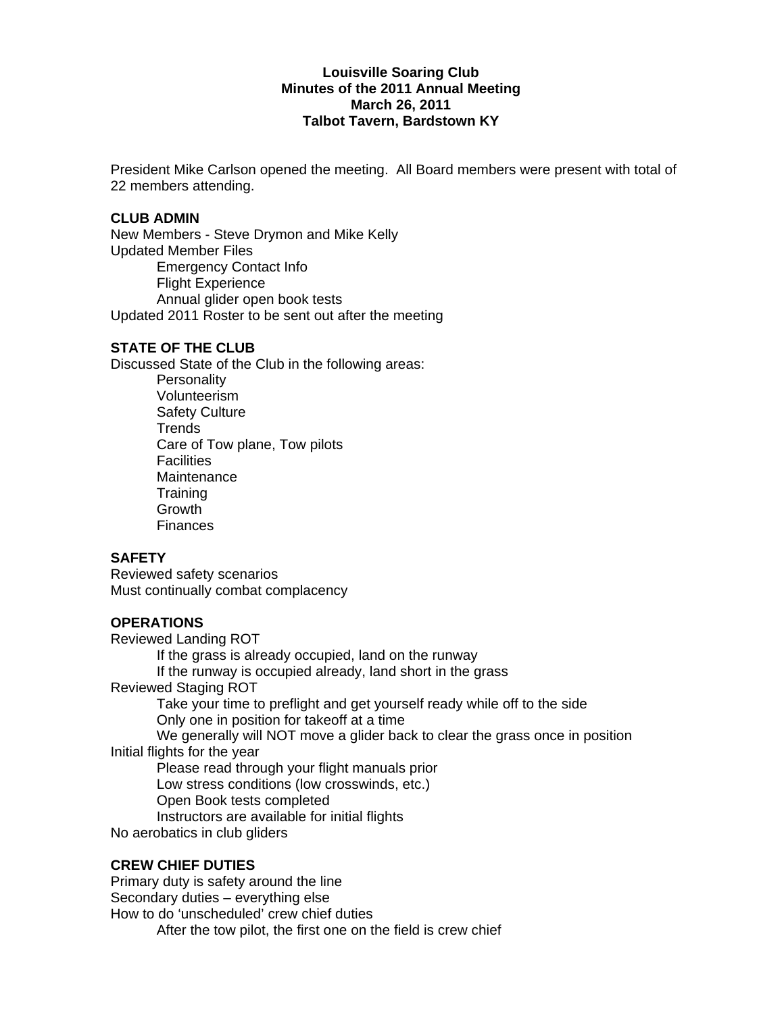## **Louisville Soaring Club Minutes of the 2011 Annual Meeting March 26, 2011 Talbot Tavern, Bardstown KY**

President Mike Carlson opened the meeting. All Board members were present with total of 22 members attending.

### **CLUB ADMIN**

New Members - Steve Drymon and Mike Kelly Updated Member Files Emergency Contact Info Flight Experience Annual glider open book tests Updated 2011 Roster to be sent out after the meeting

# **STATE OF THE CLUB**

Discussed State of the Club in the following areas:

**Personality**  Volunteerism Safety Culture **Trends**  Care of Tow plane, Tow pilots **Facilities Maintenance Training**  Growth **Finances** 

### **SAFETY**

Reviewed safety scenarios Must continually combat complacency

### **OPERATIONS**

Reviewed Landing ROT

If the grass is already occupied, land on the runway

If the runway is occupied already, land short in the grass

Reviewed Staging ROT

 Take your time to preflight and get yourself ready while off to the side Only one in position for takeoff at a time

 We generally will NOT move a glider back to clear the grass once in position Initial flights for the year

Please read through your flight manuals prior

Low stress conditions (low crosswinds, etc.)

Open Book tests completed

Instructors are available for initial flights

No aerobatics in club gliders

### **CREW CHIEF DUTIES**

Primary duty is safety around the line Secondary duties – everything else How to do 'unscheduled' crew chief duties After the tow pilot, the first one on the field is crew chief